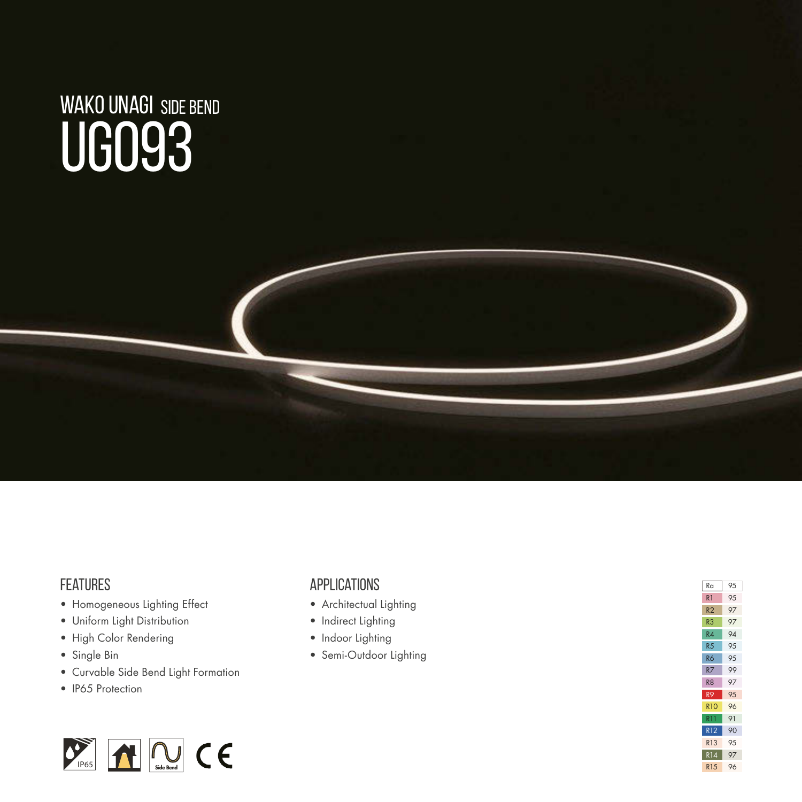# WAKO UNAGI SIDE BENDUG093

#### **FEATURES**

- Homogeneous Lighting Effect
- Uniform Light Distribution
- High Color Rendering
- Single Bin
- Curvable Side Bend Light Formation
- IP65 Protection



#### **APPLICATIONS**

- Architectual Lighting
- Indirect Lighting
- Indoor Lighting
- Semi-Outdoor Lighting

| Ra              | 95 |
|-----------------|----|
| R1              | 95 |
| R <sub>2</sub>  | 97 |
| R3              | 97 |
| R4              | 94 |
| R <sub>5</sub>  | 95 |
| R6              | 95 |
| R7              | 99 |
| R <sub>8</sub>  | 97 |
| R9              | 95 |
| <b>R10</b>      | 96 |
| RT1             | 91 |
| <b>R12</b>      | 90 |
| R13             | 95 |
| <b>R14</b>      | 97 |
| R <sub>15</sub> | 96 |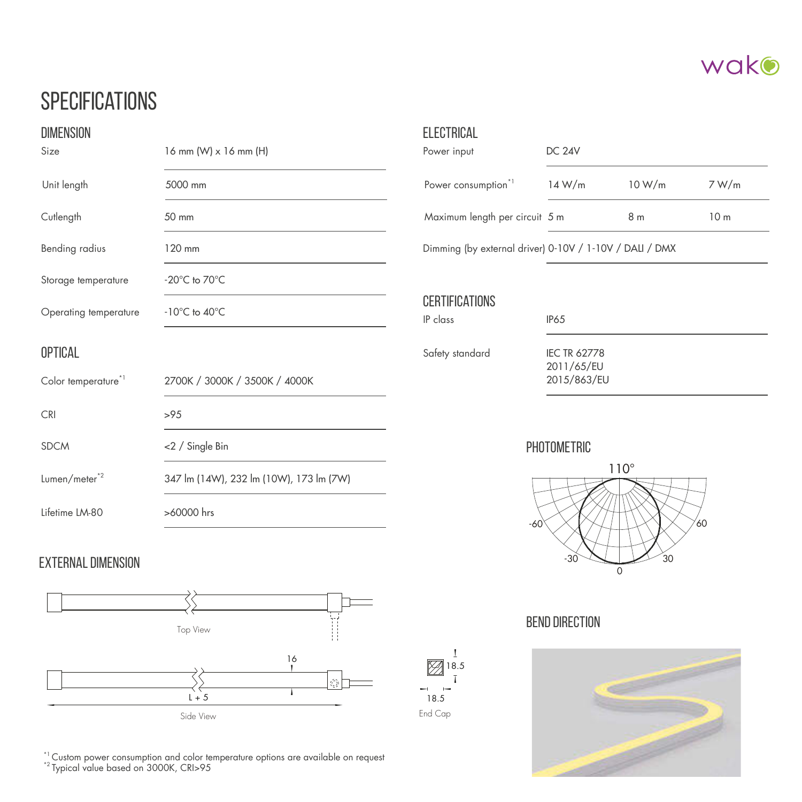

## **SPECIFICATIONS**

| <b>DIMENSION</b><br>16 mm $(W) \times 16$ mm $(H)$<br>Size |                                         | <b>ELECTRICAL</b><br>Power input                        | <b>DC 24V</b>                                    |                |                 |  |
|------------------------------------------------------------|-----------------------------------------|---------------------------------------------------------|--------------------------------------------------|----------------|-----------------|--|
| Unit length                                                | 5000 mm                                 | Power consumption <sup>*1</sup>                         | 14 W/m                                           | 10 W/m         | 7 W/m           |  |
| Cutlength                                                  | 50 mm                                   | Maximum length per circuit 5 m                          |                                                  | 8 <sub>m</sub> | 10 <sub>m</sub> |  |
| Bending radius                                             | 120 mm                                  | Dimming (by external driver) 0-10V / 1-10V / DALI / DMX |                                                  |                |                 |  |
| Storage temperature                                        | $-20^{\circ}$ C to $70^{\circ}$ C       |                                                         |                                                  |                |                 |  |
| Operating temperature                                      | $-10^{\circ}$ C to $40^{\circ}$ C       | <b>CERTIFICATIONS</b><br>IP class                       | <b>IP65</b>                                      |                |                 |  |
| OPTICAL<br>Color temperature <sup>*1</sup>                 | 2700K / 3000K / 3500K / 4000K           | Safety standard                                         | <b>IEC TR 62778</b><br>2011/65/EU<br>2015/863/EU |                |                 |  |
| <b>CRI</b>                                                 | >95                                     |                                                         |                                                  |                |                 |  |
| <b>SDCM</b>                                                | <2 / Single Bin                         | PHOTOMETRIC<br>$110^\circ$<br>′60<br>-60                |                                                  |                |                 |  |
| $Lumen/meter^{\star 2}$                                    | 347 lm (14W), 232 lm (10W), 173 lm (7W) |                                                         |                                                  |                |                 |  |
| Lifetime LM-80                                             | >60000 hrs                              |                                                         |                                                  |                |                 |  |

End Cap 18.5

 $\sim$  $\sim$ 

18.5

 $\mathbf I$  $\overline{1}$ 

#### EXTERNAL DIMENSION



 $^\ast$  Custom power consumption and color temperature options are available on request  $^\ast$  Typical value based on 3000K, CRI>95



#### BEND DIRECTION

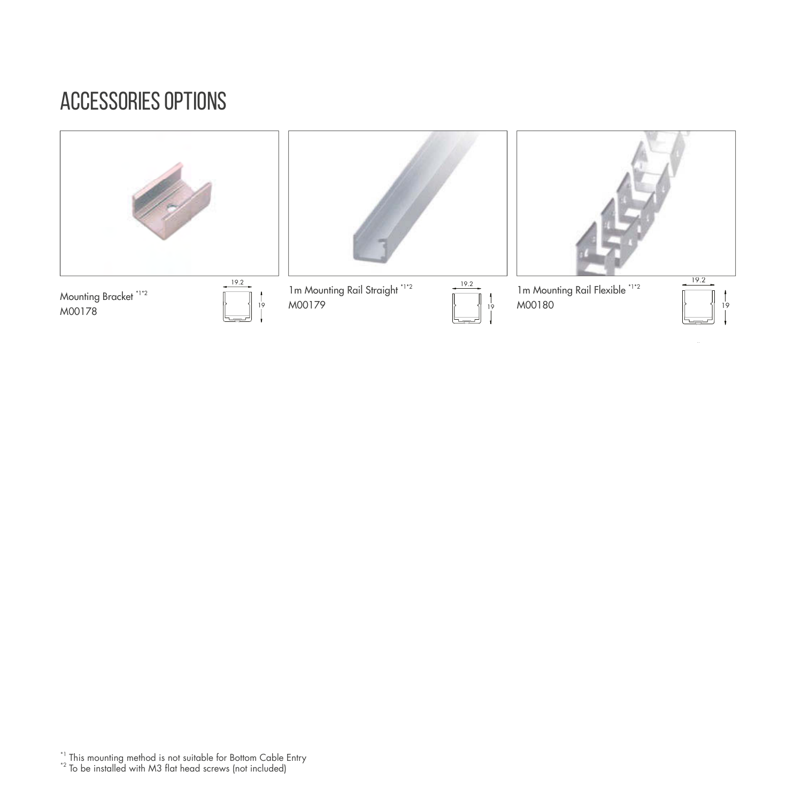## accessories options



\*1 This mounting method is not suitable for Bottom Cable Entry<br>\*2 To be installed with M3 flat head screws (not included)